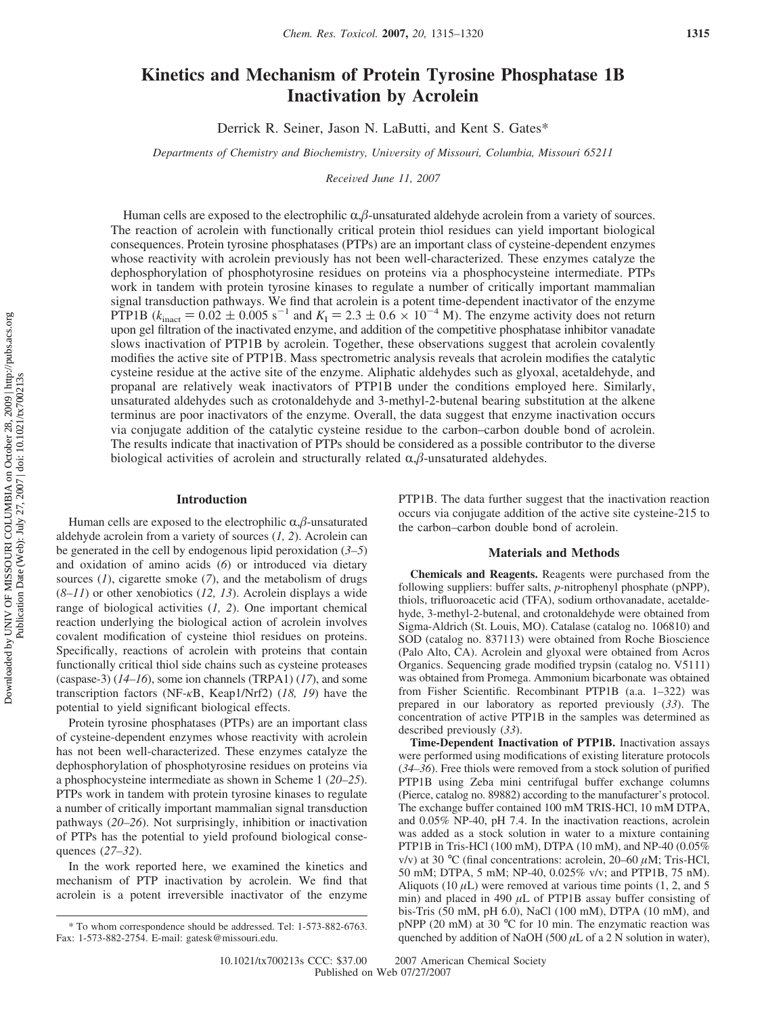# **Kinetics and Mechanism of Protein Tyrosine Phosphatase 1B Inactivation by Acrolein**

Derrick R. Seiner, Jason N. LaButti, and Kent S. Gates\*

*Departments of Chemistry and Biochemistry, University of Missouri, Columbia, Missouri 65211* 

*Recei*V*ed June 11, 2007*

Human cells are exposed to the electrophilic  $\alpha$ , $\beta$ -unsaturated aldehyde acrolein from a variety of sources. The reaction of acrolein with functionally critical protein thiol residues can yield important biological consequences. Protein tyrosine phosphatases (PTPs) are an important class of cysteine-dependent enzymes whose reactivity with acrolein previously has not been well-characterized. These enzymes catalyze the dephosphorylation of phosphotyrosine residues on proteins via a phosphocysteine intermediate. PTPs work in tandem with protein tyrosine kinases to regulate a number of critically important mammalian signal transduction pathways. We find that acrolein is a potent time-dependent inactivator of the enzyme PTP1B ( $k_{\text{inact}} = 0.02 \pm 0.005 \text{ s}^{-1}$  and  $K_{\text{I}} = 2.3 \pm 0.6 \times 10^{-4} \text{ M}$ ). The enzyme activity does not return upon gel filtration of the inactivated enzyme, and addition of the competitive phosphatase inhibitor vanadate slows inactivation of PTP1B by acrolein. Together, these observations suggest that acrolein covalently modifies the active site of PTP1B. Mass spectrometric analysis reveals that acrolein modifies the catalytic cysteine residue at the active site of the enzyme. Aliphatic aldehydes such as glyoxal, acetaldehyde, and propanal are relatively weak inactivators of PTP1B under the conditions employed here. Similarly, unsaturated aldehydes such as crotonaldehyde and 3-methyl-2-butenal bearing substitution at the alkene terminus are poor inactivators of the enzyme. Overall, the data suggest that enzyme inactivation occurs via conjugate addition of the catalytic cysteine residue to the carbon–carbon double bond of acrolein. The results indicate that inactivation of PTPs should be considered as a possible contributor to the diverse biological activities of acrolein and structurally related  $\alpha$ , $\beta$ -unsaturated aldehydes.

### **Introduction**

Human cells are exposed to the electrophilic  $\alpha$ , $\beta$ -unsaturated aldehyde acrolein from a variety of sources (*1, 2*). Acrolein can be generated in the cell by endogenous lipid peroxidation (*3–5*) and oxidation of amino acids (*6*) or introduced via dietary sources (*1*), cigarette smoke (*7*), and the metabolism of drugs (*8–11*) or other xenobiotics (*12, 13*). Acrolein displays a wide range of biological activities (*1, 2*). One important chemical reaction underlying the biological action of acrolein involves covalent modification of cysteine thiol residues on proteins. Specifically, reactions of acrolein with proteins that contain functionally critical thiol side chains such as cysteine proteases (caspase-3) (*14–16*), some ion channels (TRPA1) (*17*), and some transcription factors (NF-*κ*B, Keap1/Nrf2) (*18, 19*) have the potential to yield significant biological effects.

Protein tyrosine phosphatases (PTPs) are an important class of cysteine-dependent enzymes whose reactivity with acrolein has not been well-characterized. These enzymes catalyze the dephosphorylation of phosphotyrosine residues on proteins via a phosphocysteine intermediate as shown in Scheme 1 (*20–25*). PTPs work in tandem with protein tyrosine kinases to regulate a number of critically important mammalian signal transduction pathways (*20–26*). Not surprisingly, inhibition or inactivation of PTPs has the potential to yield profound biological consequences (*27–32*).

In the work reported here, we examined the kinetics and mechanism of PTP inactivation by acrolein. We find that acrolein is a potent irreversible inactivator of the enzyme

PTP1B. The data further suggest that the inactivation reaction occurs via conjugate addition of the active site cysteine-215 to the carbon–carbon double bond of acrolein.

## **Materials and Methods**

**Chemicals and Reagents.** Reagents were purchased from the following suppliers: buffer salts, *p*-nitrophenyl phosphate (pNPP), thiols, trifluoroacetic acid (TFA), sodium orthovanadate, acetaldehyde, 3-methyl-2-butenal, and crotonaldehyde were obtained from Sigma-Aldrich (St. Louis, MO). Catalase (catalog no. 106810) and SOD (catalog no. 837113) were obtained from Roche Bioscience (Palo Alto, CA). Acrolein and glyoxal were obtained from Acros Organics. Sequencing grade modified trypsin (catalog no. V5111) was obtained from Promega. Ammonium bicarbonate was obtained from Fisher Scientific. Recombinant PTP1B (a.a. 1–322) was prepared in our laboratory as reported previously (*33*). The concentration of active PTP1B in the samples was determined as described previously (*33*).

**Time-Dependent Inactivation of PTP1B.** Inactivation assays were performed using modifications of existing literature protocols (*34–36*). Free thiols were removed from a stock solution of purified PTP1B using Zeba mini centrifugal buffer exchange columns (Pierce, catalog no. 89882) according to the manufacturer's protocol. The exchange buffer contained 100 mM TRIS-HCl, 10 mM DTPA, and 0.05% NP-40, pH 7.4. In the inactivation reactions, acrolein was added as a stock solution in water to a mixture containing PTP1B in Tris-HCl (100 mM), DTPA (10 mM), and NP-40 (0.05% v/v) at 30 °C (final concentrations: acrolein, 20–60 *µ*M; Tris-HCl, 50 mM; DTPA, 5 mM; NP-40, 0.025% v/v; and PTP1B, 75 nM). Aliquots (10  $\mu$ L) were removed at various time points (1, 2, and 5) min) and placed in 490 *µ*L of PTP1B assay buffer consisting of bis-Tris (50 mM, pH 6.0), NaCl (100 mM), DTPA (10 mM), and pNPP (20 mM) at 30 °C for 10 min. The enzymatic reaction was quenched by addition of NaOH (500  $\mu$ L of a 2 N solution in water),

<sup>\*</sup> To whom correspondence should be addressed. Tel: 1-573-882-6763. Fax: 1-573-882-2754. E-mail: gatesk@missouri.edu.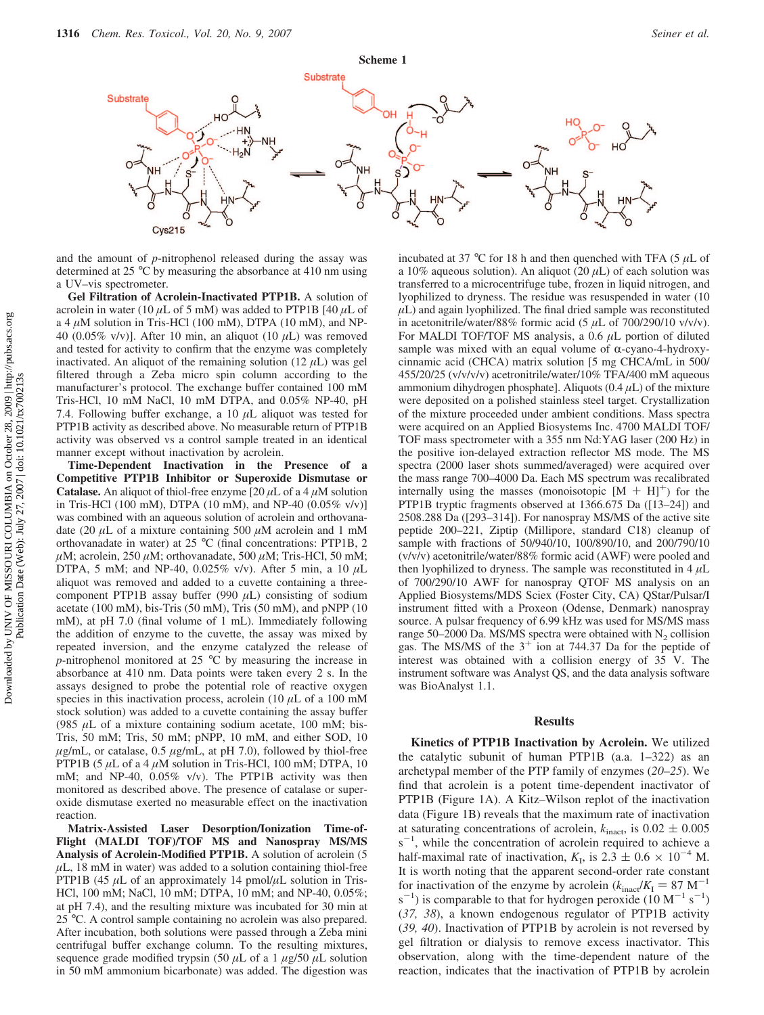

and the amount of *p*-nitrophenol released during the assay was determined at 25 °C by measuring the absorbance at 410 nm using a UV–vis spectrometer.

**Gel Filtration of Acrolein-Inactivated PTP1B.** A solution of acrolein in water (10 *µ*L of 5 mM) was added to PTP1B [40 *µ*L of a 4  $\mu$ M solution in Tris-HCl (100 mM), DTPA (10 mM), and NP-40 (0.05% v/v)]. After 10 min, an aliquot (10 *µ*L) was removed and tested for activity to confirm that the enzyme was completely inactivated. An aliquot of the remaining solution  $(12 \mu L)$  was gel filtered through a Zeba micro spin column according to the manufacturer's protocol. The exchange buffer contained 100 mM Tris-HCl, 10 mM NaCl, 10 mM DTPA, and 0.05% NP-40, pH 7.4. Following buffer exchange, a 10 *µ*L aliquot was tested for PTP1B activity as described above. No measurable return of PTP1B activity was observed vs a control sample treated in an identical manner except without inactivation by acrolein.

**Time-Dependent Inactivation in the Presence of a Competitive PTP1B Inhibitor or Superoxide Dismutase or Catalase.** An aliquot of thiol-free enzyme  $[20 \mu L$  of a 4  $\mu$ M solution in Tris-HCl (100 mM), DTPA (10 mM), and NP-40 (0.05% v/v)] was combined with an aqueous solution of acrolein and orthovanadate (20 *µ*L of a mixture containing 500 *µ*M acrolein and 1 mM orthovanadate in water) at 25 °C (final concentrations: PTP1B, 2  $\mu$ M; acrolein, 250  $\mu$ M; orthovanadate, 500  $\mu$ M; Tris-HCl, 50 mM; DTPA, 5 mM; and NP-40, 0.025% v/v). After 5 min, a 10 *µ*L aliquot was removed and added to a cuvette containing a threecomponent PTP1B assay buffer (990 *µ*L) consisting of sodium acetate (100 mM), bis-Tris (50 mM), Tris (50 mM), and pNPP (10 mM), at pH 7.0 (final volume of 1 mL). Immediately following the addition of enzyme to the cuvette, the assay was mixed by repeated inversion, and the enzyme catalyzed the release of *p*-nitrophenol monitored at 25 °C by measuring the increase in absorbance at 410 nm. Data points were taken every 2 s. In the assays designed to probe the potential role of reactive oxygen species in this inactivation process, acrolein  $(10 \mu L)$  of a 100 mM stock solution) was added to a cuvette containing the assay buffer (985  $\mu$ L of a mixture containing sodium acetate, 100 mM; bis-Tris, 50 mM; Tris, 50 mM; pNPP, 10 mM, and either SOD, 10  $\mu$ g/mL, or catalase, 0.5  $\mu$ g/mL, at pH 7.0), followed by thiol-free PTP1B (5  $\mu$ L of a 4  $\mu$ M solution in Tris-HCl, 100 mM; DTPA, 10 mM; and NP-40, 0.05% v/v). The PTP1B activity was then monitored as described above. The presence of catalase or superoxide dismutase exerted no measurable effect on the inactivation reaction.

**Matrix-Assisted Laser Desorption/Ionization Time-of-Flight (MALDI TOF)/TOF MS and Nanospray MS/MS Analysis of Acrolein-Modified PTP1B.** A solution of acrolein (5  $\mu$ L, 18 mM in water) was added to a solution containing thiol-free PTP1B (45  $\mu$ L of an approximately 14 pmol/ $\mu$ L solution in Tris-HCl, 100 mM; NaCl, 10 mM; DTPA, 10 mM; and NP-40, 0.05%; at pH 7.4), and the resulting mixture was incubated for 30 min at 25 °C. A control sample containing no acrolein was also prepared. After incubation, both solutions were passed through a Zeba mini centrifugal buffer exchange column. To the resulting mixtures, sequence grade modified trypsin (50  $\mu$ L of a 1  $\mu$ g/50  $\mu$ L solution in 50 mM ammonium bicarbonate) was added. The digestion was incubated at 37 °C for 18 h and then quenched with TFA (5  $\mu$ L of a 10% aqueous solution). An aliquot  $(20 \,\mu L)$  of each solution was transferred to a microcentrifuge tube, frozen in liquid nitrogen, and lyophilized to dryness. The residue was resuspended in water (10  $\mu$ L) and again lyophilized. The final dried sample was reconstituted in acetonitrile/water/88% formic acid (5 *µ*L of 700/290/10 v/v/v). For MALDI TOF/TOF MS analysis, a 0.6 *µ*L portion of diluted sample was mixed with an equal volume of  $\alpha$ -cyano-4-hydroxycinnamic acid (CHCA) matrix solution [5 mg CHCA/mL in 500/ 455/20/25 (v/v/v/v) acetronitrile/water/10% TFA/400 mM aqueous ammonium dihydrogen phosphate]. Aliquots (0.4 *µ*L) of the mixture were deposited on a polished stainless steel target. Crystallization of the mixture proceeded under ambient conditions. Mass spectra were acquired on an Applied Biosystems Inc. 4700 MALDI TOF/ TOF mass spectrometer with a 355 nm Nd:YAG laser (200 Hz) in the positive ion-delayed extraction reflector MS mode. The MS spectra (2000 laser shots summed/averaged) were acquired over the mass range 700–4000 Da. Each MS spectrum was recalibrated internally using the masses (monoisotopic  $[M + H]$ <sup>+</sup>) for the PTP1B tryptic fragments observed at 1366.675 Da ([13–24]) and 2508.288 Da ([293–314]). For nanospray MS/MS of the active site peptide 200–221, Ziptip (Millipore, standard C18) cleanup of sample with fractions of 50/940/10, 100/890/10, and 200/790/10 (v/v/v) acetonitrile/water/88% formic acid (AWF) were pooled and then lyophilized to dryness. The sample was reconstituted in  $4 \mu L$ of 700/290/10 AWF for nanospray QTOF MS analysis on an Applied Biosystems/MDS Sciex (Foster City, CA) QStar/Pulsar/I instrument fitted with a Proxeon (Odense, Denmark) nanospray source. A pulsar frequency of 6.99 kHz was used for MS/MS mass range 50–2000 Da. MS/MS spectra were obtained with  $N_2$  collision gas. The MS/MS of the  $3^{+}$  ion at 744.37 Da for the peptide of interest was obtained with a collision energy of 35 V. The instrument software was Analyst QS, and the data analysis software was BioAnalyst 1.1.

### **Results**

**Kinetics of PTP1B Inactivation by Acrolein.** We utilized the catalytic subunit of human PTP1B (a.a. 1–322) as an archetypal member of the PTP family of enzymes (*20–25*). We find that acrolein is a potent time-dependent inactivator of PTP1B (Figure 1A). A Kitz–Wilson replot of the inactivation data (Figure 1B) reveals that the maximum rate of inactivation at saturating concentrations of acrolein,  $k_{\text{inact}}$ , is  $0.02 \pm 0.005$  $s^{-1}$ , while the concentration of acrolein required to achieve a half-maximal rate of inactivation,  $K_I$ , is  $2.3 \pm 0.6 \times 10^{-4}$  M. It is worth noting that the apparent second-order rate constant for inactivation of the enzyme by acrolein ( $k_{\text{inact}}/K_{\text{I}} = 87 \text{ M}^{-1}$ )  $s^{-1}$ ) is comparable to that for hydrogen peroxide (10 M<sup>-1</sup> s<sup>-1</sup>) (*37, 38*), a known endogenous regulator of PTP1B activity (*39, 40*). Inactivation of PTP1B by acrolein is not reversed by gel filtration or dialysis to remove excess inactivator. This observation, along with the time-dependent nature of the reaction, indicates that the inactivation of PTP1B by acrolein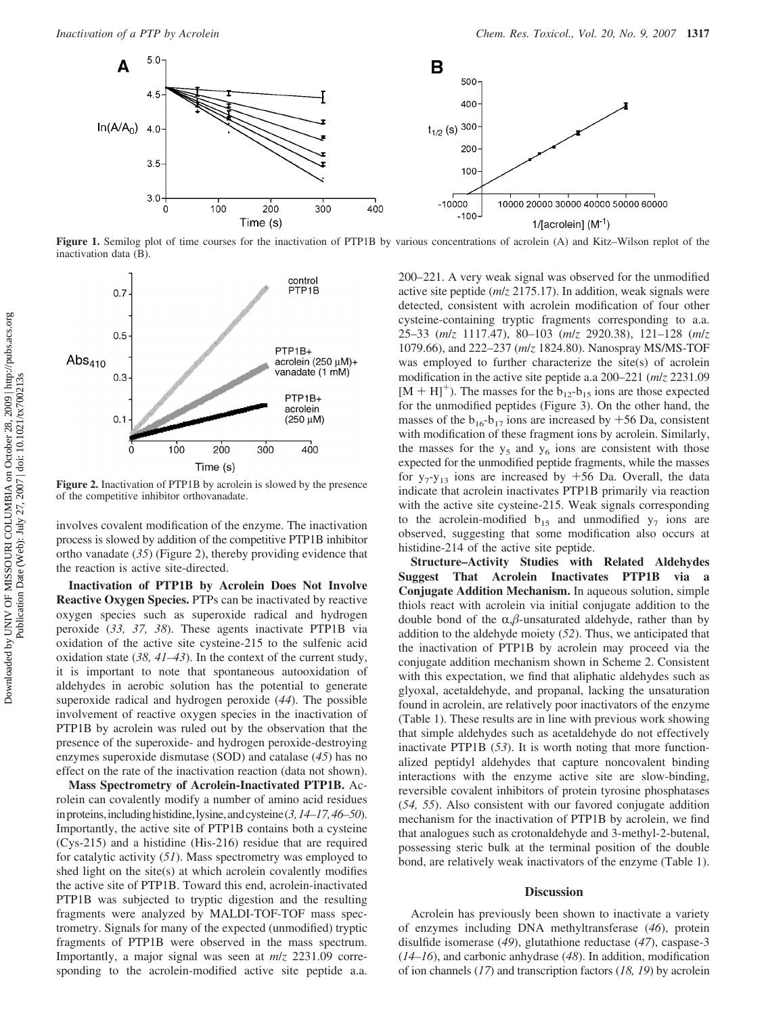

**Figure 1.** Semilog plot of time courses for the inactivation of PTP1B by various concentrations of acrolein (A) and Kitz–Wilson replot of the inactivation data (B).



Figure 2. Inactivation of PTP1B by acrolein is slowed by the presence of the competitive inhibitor orthovanadate.

involves covalent modification of the enzyme. The inactivation process is slowed by addition of the competitive PTP1B inhibitor ortho vanadate (*35*) (Figure 2), thereby providing evidence that the reaction is active site-directed.

**Inactivation of PTP1B by Acrolein Does Not Involve Reactive Oxygen Species.** PTPs can be inactivated by reactive oxygen species such as superoxide radical and hydrogen peroxide (*33, 37, 38*). These agents inactivate PTP1B via oxidation of the active site cysteine-215 to the sulfenic acid oxidation state (*38, 41–43*). In the context of the current study, it is important to note that spontaneous autooxidation of aldehydes in aerobic solution has the potential to generate superoxide radical and hydrogen peroxide (*44*). The possible involvement of reactive oxygen species in the inactivation of PTP1B by acrolein was ruled out by the observation that the presence of the superoxide- and hydrogen peroxide-destroying enzymes superoxide dismutase (SOD) and catalase (*45*) has no effect on the rate of the inactivation reaction (data not shown).

**Mass Spectrometry of Acrolein-Inactivated PTP1B.** Acrolein can covalently modify a number of amino acid residues inproteins,includinghistidine,lysine,andcysteine (*3,14–17,46–50*). Importantly, the active site of PTP1B contains both a cysteine (Cys-215) and a histidine (His-216) residue that are required for catalytic activity (*51*). Mass spectrometry was employed to shed light on the site(s) at which acrolein covalently modifies the active site of PTP1B. Toward this end, acrolein-inactivated PTP1B was subjected to tryptic digestion and the resulting fragments were analyzed by MALDI-TOF-TOF mass spectrometry. Signals for many of the expected (unmodified) tryptic fragments of PTP1B were observed in the mass spectrum. Importantly, a major signal was seen at *m*/*z* 2231.09 corresponding to the acrolein-modified active site peptide a.a.

200–221. A very weak signal was observed for the unmodified active site peptide (*m*/*z* 2175.17). In addition, weak signals were detected, consistent with acrolein modification of four other cysteine-containing tryptic fragments corresponding to a.a. 25–33 (*m*/*z* 1117.47), 80–103 (*m*/*z* 2920.38), 121–128 (*m*/*z* 1079.66), and 222–237 (*m*/*z* 1824.80). Nanospray MS/MS-TOF was employed to further characterize the site(s) of acrolein modification in the active site peptide a.a 200–221 (*m*/*z* 2231.09  $[M + H]$ <sup>+</sup>). The masses for the  $b_{12}$ - $b_{15}$  ions are those expected for the unmodified peptides (Figure 3). On the other hand, the masses of the  $b_{16}-b_{17}$  ions are increased by +56 Da, consistent with modification of these fragment ions by acrolein. Similarly, the masses for the  $y_5$  and  $y_6$  ions are consistent with those expected for the unmodified peptide fragments, while the masses for  $y_7-y_{13}$  ions are increased by  $+56$  Da. Overall, the data indicate that acrolein inactivates PTP1B primarily via reaction with the active site cysteine-215. Weak signals corresponding to the acrolein-modified  $b_{15}$  and unmodified  $y_7$  ions are observed, suggesting that some modification also occurs at histidine-214 of the active site peptide.

**Structure–Activity Studies with Related Aldehydes Suggest That Acrolein Inactivates PTP1B via a Conjugate Addition Mechanism.** In aqueous solution, simple thiols react with acrolein via initial conjugate addition to the double bond of the  $\alpha$ , $\beta$ -unsaturated aldehyde, rather than by addition to the aldehyde moiety (*52*). Thus, we anticipated that the inactivation of PTP1B by acrolein may proceed via the conjugate addition mechanism shown in Scheme 2. Consistent with this expectation, we find that aliphatic aldehydes such as glyoxal, acetaldehyde, and propanal, lacking the unsaturation found in acrolein, are relatively poor inactivators of the enzyme (Table 1). These results are in line with previous work showing that simple aldehydes such as acetaldehyde do not effectively inactivate PTP1B (*53*). It is worth noting that more functionalized peptidyl aldehydes that capture noncovalent binding interactions with the enzyme active site are slow-binding, reversible covalent inhibitors of protein tyrosine phosphatases (*54, 55*). Also consistent with our favored conjugate addition mechanism for the inactivation of PTP1B by acrolein, we find that analogues such as crotonaldehyde and 3-methyl-2-butenal, possessing steric bulk at the terminal position of the double bond, are relatively weak inactivators of the enzyme (Table 1).

#### **Discussion**

Acrolein has previously been shown to inactivate a variety of enzymes including DNA methyltransferase (*46*), protein disulfide isomerase (*49*), glutathione reductase (*47*), caspase-3 (*14–16*), and carbonic anhydrase (*48*). In addition, modification of ion channels (*17*) and transcription factors (*18, 19*) by acrolein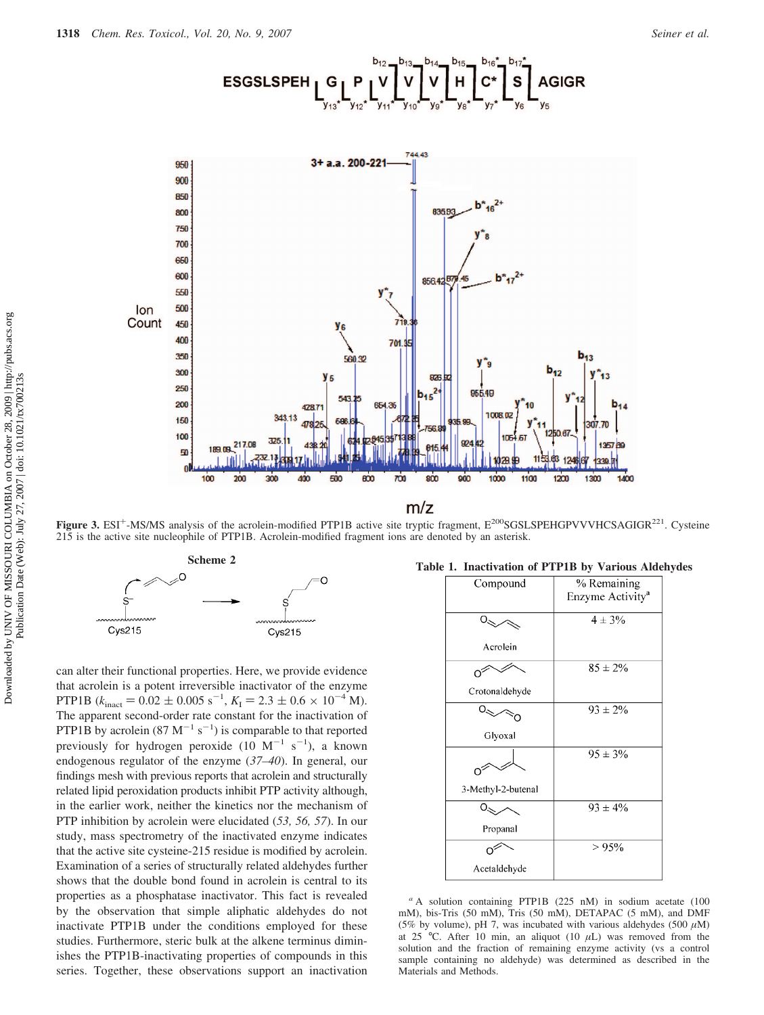



Figure 3. ESI<sup>+</sup>-MS/MS analysis of the acrolein-modified PTP1B active site tryptic fragment, E<sup>200</sup>SGSLSPEHGPVVVHCSAGIGR<sup>221</sup>. Cysteine 215 is the active site nucleophile of PTP1B. Acrolein-modified fragment ions are denoted by an asterisk.



can alter their functional properties. Here, we provide evidence that acrolein is a potent irreversible inactivator of the enzyme PTP1B  $(k_{\text{inact}} = 0.02 \pm 0.005 \text{ s}^{-1}, K_1 = 2.3 \pm 0.6 \times 10^{-4} \text{ M})$ .<br>The apparent second-order rate constant for the inactivation of The apparent second-order rate constant for the inactivation of PTP1B by acrolein  $(87 \text{ M}^{-1} \text{ s}^{-1})$  is comparable to that reported previously for hydrogen peroxide  $(10 \text{ M}^{-1} \text{ s}^{-1})$ , a known endogenous regulator of the enzyme (*37–40*). In general, our findings mesh with previous reports that acrolein and structurally related lipid peroxidation products inhibit PTP activity although, in the earlier work, neither the kinetics nor the mechanism of PTP inhibition by acrolein were elucidated (*53, 56, 57*). In our study, mass spectrometry of the inactivated enzyme indicates that the active site cysteine-215 residue is modified by acrolein. Examination of a series of structurally related aldehydes further shows that the double bond found in acrolein is central to its properties as a phosphatase inactivator. This fact is revealed by the observation that simple aliphatic aldehydes do not inactivate PTP1B under the conditions employed for these studies. Furthermore, steric bulk at the alkene terminus diminishes the PTP1B-inactivating properties of compounds in this series. Together, these observations support an inactivation

# **Scheme 2 Table 1. Inactivation of PTP1B by Various Aldehydes**

| Compound           | % Remaining<br>Enzyme Activity <sup>a</sup> |
|--------------------|---------------------------------------------|
|                    |                                             |
|                    | $4 \pm 3\%$                                 |
| Acrolein           |                                             |
|                    | $85 \pm 2\%$                                |
| Crotonaldehyde     |                                             |
|                    | $93 \pm 2\%$                                |
| Glyoxal            |                                             |
|                    | $95 \pm 3\%$                                |
| 3-Methyl-2-butenal |                                             |
|                    | $93 \pm 4\%$                                |
| Propanal           |                                             |
|                    | >95%                                        |
| Acetaldehyde       |                                             |

*<sup>a</sup>* A solution containing PTP1B (225 nM) in sodium acetate (100 mM), bis-Tris (50 mM), Tris (50 mM), DETAPAC (5 mM), and DMF (5% by volume), pH 7, was incubated with various aldehydes (500  $\mu$ M) at 25 °C. After 10 min, an aliquot (10  $\mu$ L) was removed from the solution and the fraction of remaining enzyme activity (vs a control sample containing no aldehyde) was determined as described in the Materials and Methods.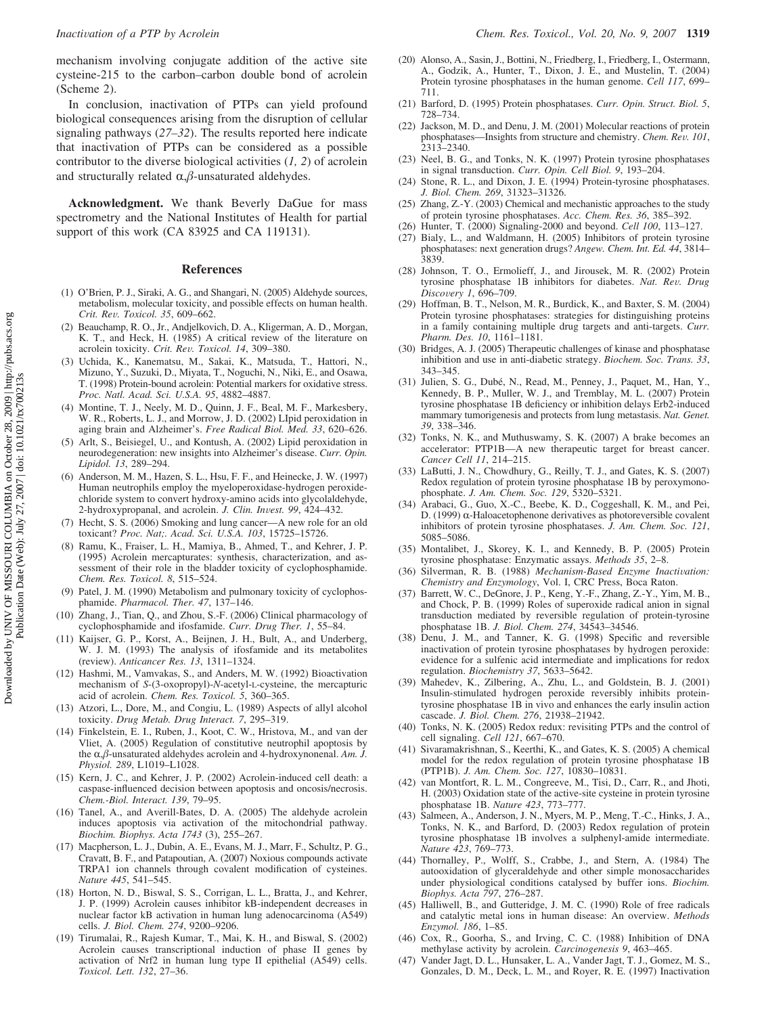mechanism involving conjugate addition of the active site cysteine-215 to the carbon–carbon double bond of acrolein (Scheme 2).

In conclusion, inactivation of PTPs can yield profound biological consequences arising from the disruption of cellular signaling pathways (*27–32*). The results reported here indicate that inactivation of PTPs can be considered as a possible contributor to the diverse biological activities (*1, 2*) of acrolein and structurally related  $\alpha$ , $\beta$ -unsaturated aldehydes.

**Acknowledgment.** We thank Beverly DaGue for mass spectrometry and the National Institutes of Health for partial support of this work (CA 83925 and CA 119131).

#### **References**

- (1) O'Brien, P. J., Siraki, A. G., and Shangari, N. (2005) Aldehyde sources, metabolism, molecular toxicity, and possible effects on human health. *Crit. Re*V*. Toxicol. 35*, 609–662.
- (2) Beauchamp, R. O., Jr., Andjelkovich, D. A., Kligerman, A. D., Morgan, K. T., and Heck, H. (1985) A critical review of the literature on acrolein toxicity. *Crit. Re*V*. Toxicol. 14*, 309–380.
- (3) Uchida, K., Kanematsu, M., Sakai, K., Matsuda, T., Hattori, N., Mizuno, Y., Suzuki, D., Miyata, T., Noguchi, N., Niki, E., and Osawa, T. (1998) Protein-bound acrolein: Potential markers for oxidative stress. *Proc. Natl. Acad. Sci. U.S.A. 95*, 4882–4887.
- (4) Montine, T. J., Neely, M. D., Quinn, J. F., Beal, M. F., Markesbery, W. R., Roberts, L. J., and Morrow, J. D. (2002) LIpid peroxidation in aging brain and Alzheimer's. *Free Radical Biol. Med. 33*, 620–626.
- (5) Arlt, S., Beisiegel, U., and Kontush, A. (2002) Lipid peroxidation in neurodegeneration: new insights into Alzheimer's disease. *Curr. Opin. Lipidol. 13*, 289–294.
- (6) Anderson, M. M., Hazen, S. L., Hsu, F. F., and Heinecke, J. W. (1997) Human neutrophils employ the myeloperoxidase-hydrogen peroxidechloride system to convert hydroxy-amino acids into glycolaldehyde, 2-hydroxypropanal, and acrolein. *J. Clin. Invest.* 99, 424-432.
- (7) Hecht, S. S. (2006) Smoking and lung cancer—A new role for an old toxicant? *Proc. Nat;. Acad. Sci. U.S.A. 103*, 15725–15726.
- (8) Ramu, K., Fraiser, L. H., Mamiya, B., Ahmed, T., and Kehrer, J. P. (1995) Acrolein mercapturates: synthesis, characterization, and assessment of their role in the bladder toxicity of cyclophosphamide. *Chem. Res. Toxicol. 8*, 515–524.
- (9) Patel, J. M. (1990) Metabolism and pulmonary toxicity of cyclophosphamide. *Pharmacol. Ther. 47*, 137–146.
- (10) Zhang, J., Tian, Q., and Zhou, S.-F. (2006) Clinical pharmacology of cyclophosphamide and ifosfamide. *Curr. Drug Ther. 1*, 55–84.
- (11) Kaijser, G. P., Korst, A., Beijnen, J. H., Bult, A., and Underberg, W. J. M. (1993) The analysis of ifosfamide and its metabolites (review). *Anticancer Res. 13*, 1311–1324.
- (12) Hashmi, M., Vamvakas, S., and Anders, M. W. (1992) Bioactivation mechanism of *S*-(3-oxopropyl)-*N*-acetyl-L-cysteine, the mercapturic acid of acrolein. *Chem. Res. Toxicol. 5*, 360–365.
- (13) Atzori, L., Dore, M., and Congiu, L. (1989) Aspects of allyl alcohol toxicity. *Drug Metab. Drug Interact. 7*, 295–319.
- (14) Finkelstein, E. I., Ruben, J., Koot, C. W., Hristova, M., and van der Vliet, A. (2005) Regulation of constitutive neutrophil apoptosis by the  $\alpha$ , $\beta$ -unsaturated aldehydes acrolein and 4-hydroxynonenal. *Am. J. Physiol. 289*, L1019–L1028.
- (15) Kern, J. C., and Kehrer, J. P. (2002) Acrolein-induced cell death: a caspase-influenced decision between apoptosis and oncosis/necrosis. *Chem.-Biol. Interact. 139*, 79–95.
- (16) Tanel, A., and Averill-Bates, D. A. (2005) The aldehyde acrolein induces apoptosis via activation of the mitochondrial pathway. *Biochim. Biophys. Acta 1743* (3), 255–267.
- (17) Macpherson, L. J., Dubin, A. E., Evans, M. J., Marr, F., Schultz, P. G., Cravatt, B. F., and Patapoutian, A. (2007) Noxious compounds activate TRPA1 ion channels through covalent modification of cysteines. *Nature 445*, 541–545.
- (18) Horton, N. D., Biswal, S. S., Corrigan, L. L., Bratta, J., and Kehrer, J. P. (1999) Acrolein causes inhibitor kB-independent decreases in nuclear factor kB activation in human lung adenocarcinoma (A549) cells. *J. Biol. Chem. 274*, 9200–9206.
- (19) Tirumalai, R., Rajesh Kumar, T., Mai, K. H., and Biswal, S. (2002) Acrolein causes transcriptional induction of phase II genes by activation of Nrf2 in human lung type II epithelial (A549) cells. *Toxicol. Lett. 132*, 27–36.
- (20) Alonso, A., Sasin, J., Bottini, N., Friedberg, I., Friedberg, I., Ostermann, A., Godzik, A., Hunter, T., Dixon, J. E., and Mustelin, T. (2004) Protein tyrosine phosphatases in the human genome. *Cell 117*, 699– 711.
- (21) Barford, D. (1995) Protein phosphatases. *Curr. Opin. Struct. Biol. 5*, 728–734.
- (22) Jackson, M. D., and Denu, J. M. (2001) Molecular reactions of protein phosphatases—Insights from structure and chemistry. *Chem. Re*V*. 101*,  $2313 - 2340$ .
- (23) Neel, B. G., and Tonks, N. K. (1997) Protein tyrosine phosphatases in signal transduction. *Curr. Opin. Cell Biol. 9*, 193–204.
- (24) Stone, R. L., and Dixon, J. E. (1994) Protein-tyrosine phosphatases. *J. Biol. Chem. 269*, 31323–31326.
- (25) Zhang, Z.-Y. (2003) Chemical and mechanistic approaches to the study of protein tyrosine phosphatases. *Acc. Chem. Res. 36*, 385–392.
- (26) Hunter, T. (2000) Signaling-2000 and beyond. *Cell 100*, 113–127.
- (27) Bialy, L., and Waldmann, H. (2005) Inhibitors of protein tyrosine phosphatases: next generation drugs? *Angew. Chem. Int. Ed. 44*, 3814– 3839.
- (28) Johnson, T. O., Ermolieff, J., and Jirousek, M. R. (2002) Protein tyrosine phosphatase 1B inhibitors for diabetes. *Nat. Re*V*. Drug Disco*V*ery 1*, 696–709.
- (29) Hoffman, B. T., Nelson, M. R., Burdick, K., and Baxter, S. M. (2004) Protein tyrosine phosphatases: strategies for distinguishing proteins in a family containing multiple drug targets and anti-targets. *Curr. Pharm. Des. 10*, 1161–1181.
- (30) Bridges, A. J. (2005) Therapeutic challenges of kinase and phosphatase inhibition and use in anti-diabetic strategy. *Biochem. Soc. Trans. 33*, 343–345.
- (31) Julien, S. G., Dubé, N., Read, M., Penney, J., Paquet, M., Han, Y., Kennedy, B. P., Muller, W. J., and Tremblay, M. L. (2007) Protein tyrosine phosphatase 1B deficiency or inhibition delays Erb2-induced mammary tumorigenesis and protects from lung metastasis. *Nat. Genet. 39*, 338–346.
- (32) Tonks, N. K., and Muthuswamy, S. K. (2007) A brake becomes an accelerator: PTP1B—A new therapeutic target for breast cancer. *Cancer Cell 11*, 214–215.
- (33) LaButti, J. N., Chowdhury, G., Reilly, T. J., and Gates, K. S. (2007) Redox regulation of protein tyrosine phosphatase 1B by peroxymonophosphate. *J. Am. Chem. Soc. 129*, 5320–5321.
- (34) Arabaci, G., Guo, X.-C., Beebe, K. D., Coggeshall, K. M., and Pei, D. (1999)  $\alpha$ -Haloacetophenone derivatives as photoreversible covalent inhibitors of protein tyrosine phosphatases. *J. Am. Chem. Soc. 121*, 5085–5086.
- (35) Montalibet, J., Skorey, K. I., and Kennedy, B. P. (2005) Protein tyrosine phosphatase: Enzymatic assays. *Methods 35*, 2–8.
- (36) Silverman, R. B. (1988) *Mechanism-Based Enzyme Inactivation*: *Chemistry and Enzymology*, Vol. I, CRC Press, Boca Raton.
- (37) Barrett, W. C., DeGnore, J. P., Keng, Y.-F., Zhang, Z.-Y., Yim, M. B., and Chock, P. B. (1999) Roles of superoxide radical anion in signal transduction mediated by reversible regulation of protein-tyrosine phosphatase 1B. *J. Biol. Chem. 274*, 34543–34546.
- (38) Denu, J. M., and Tanner, K. G. (1998) Specific and reversible inactivation of protein tyrosine phosphatases by hydrogen peroxide: evidence for a sulfenic acid intermediate and implications for redox regulation. *Biochemistry 37*, 5633–5642.
- (39) Mahedev, K., Zilbering, A., Zhu, L., and Goldstein, B. J. (2001) Insulin-stimulated hydrogen peroxide reversibly inhibits proteintyrosine phosphatase 1B in vivo and enhances the early insulin action cascade. *J. Biol. Chem. 276*, 21938–21942.
- (40) Tonks, N. K. (2005) Redox redux: revisiting PTPs and the control of cell signaling. *Cell 121*, 667–670.
- (41) Sivaramakrishnan, S., Keerthi, K., and Gates, K. S. (2005) A chemical model for the redox regulation of protein tyrosine phosphatase 1B (PTP1B). *J. Am. Chem. Soc. 127*, 10830–10831.
- (42) van Montfort, R. L. M., Congreeve, M., Tisi, D., Carr, R., and Jhoti, H. (2003) Oxidation state of the active-site cysteine in protein tyrosine phosphatase 1B. *Nature 423*, 773–777.
- (43) Salmeen, A., Anderson, J. N., Myers, M. P., Meng, T.-C., Hinks, J. A., Tonks, N. K., and Barford, D. (2003) Redox regulation of protein tyrosine phosphatase 1B involves a sulphenyl-amide intermediate. *Nature 423*, 769–773.
- (44) Thornalley, P., Wolff, S., Crabbe, J., and Stern, A. (1984) The autooxidation of glyceraldehyde and other simple monosaccharides under physiological conditions catalysed by buffer ions. *Biochim. Biophys. Acta 797*, 276–287.
- (45) Halliwell, B., and Gutteridge, J. M. C. (1990) Role of free radicals and catalytic metal ions in human disease: An overview. *Methods Enzymol. 186*, 1–85.
- (46) Cox, R., Goorha, S., and Irving, C. C. (1988) Inhibition of DNA methylase activity by acrolein. *Carcinogenesis 9*, 463–465.
- (47) Vander Jagt, D. L., Hunsaker, L. A., Vander Jagt, T. J., Gomez, M. S., Gonzales, D. M., Deck, L. M., and Royer, R. E. (1997) Inactivation